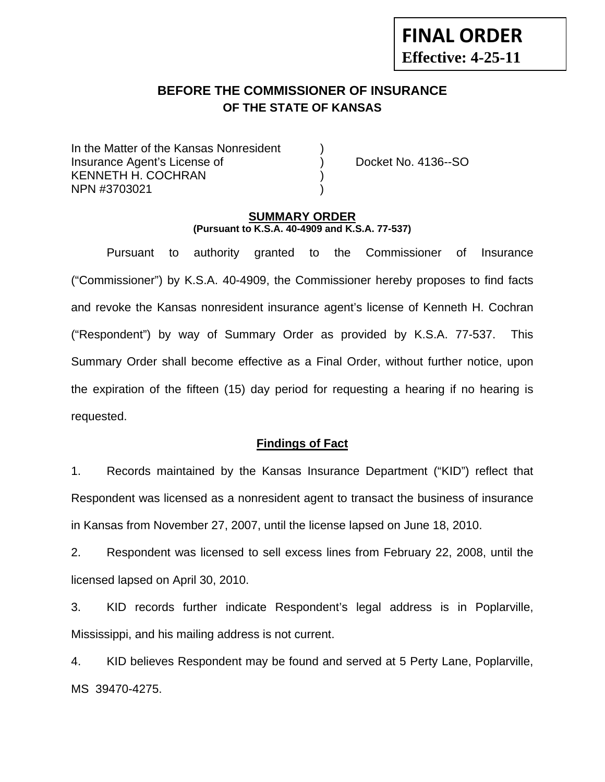# **BEFORE THE COMMISSIONER OF INSURANCE OF THE STATE OF KANSAS**

In the Matter of the Kansas Nonresident Insurance Agent's License of ) Docket No. 4136--SO KENNETH H. COCHRAN NPN #3703021 )

**FINAL ORDER**

**Effective: 4-25-11** 

#### **SUMMARY ORDER (Pursuant to K.S.A. 40-4909 and K.S.A. 77-537)**

 Pursuant to authority granted to the Commissioner of Insurance ("Commissioner") by K.S.A. 40-4909, the Commissioner hereby proposes to find facts and revoke the Kansas nonresident insurance agent's license of Kenneth H. Cochran ("Respondent") by way of Summary Order as provided by K.S.A. 77-537. This Summary Order shall become effective as a Final Order, without further notice, upon the expiration of the fifteen (15) day period for requesting a hearing if no hearing is requested.

### **Findings of Fact**

1. Records maintained by the Kansas Insurance Department ("KID") reflect that Respondent was licensed as a nonresident agent to transact the business of insurance in Kansas from November 27, 2007, until the license lapsed on June 18, 2010.

2. Respondent was licensed to sell excess lines from February 22, 2008, until the licensed lapsed on April 30, 2010.

3. KID records further indicate Respondent's legal address is in Poplarville, Mississippi, and his mailing address is not current.

4. KID believes Respondent may be found and served at 5 Perty Lane, Poplarville, MS 39470-4275.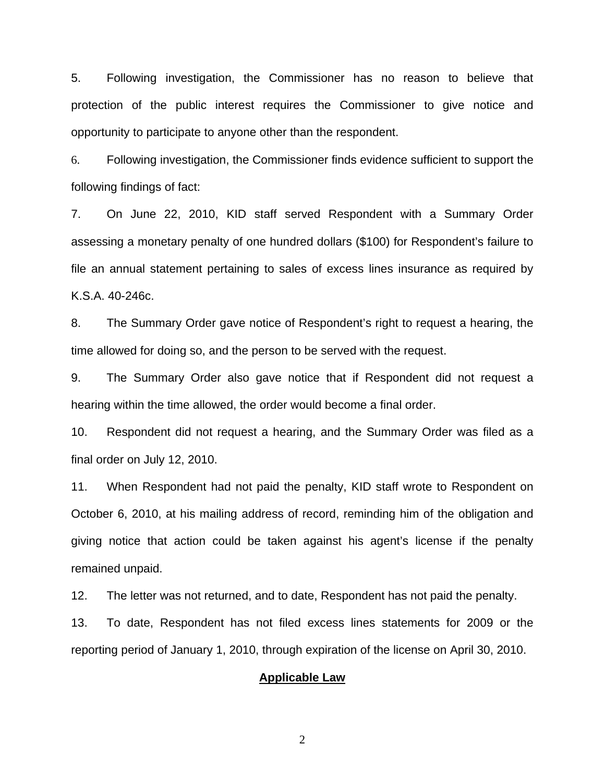5. Following investigation, the Commissioner has no reason to believe that protection of the public interest requires the Commissioner to give notice and opportunity to participate to anyone other than the respondent.

6. Following investigation, the Commissioner finds evidence sufficient to support the following findings of fact:

7. On June 22, 2010, KID staff served Respondent with a Summary Order assessing a monetary penalty of one hundred dollars (\$100) for Respondent's failure to file an annual statement pertaining to sales of excess lines insurance as required by K.S.A. 40-246c.

8. The Summary Order gave notice of Respondent's right to request a hearing, the time allowed for doing so, and the person to be served with the request.

9. The Summary Order also gave notice that if Respondent did not request a hearing within the time allowed, the order would become a final order.

10. Respondent did not request a hearing, and the Summary Order was filed as a final order on July 12, 2010.

11. When Respondent had not paid the penalty, KID staff wrote to Respondent on October 6, 2010, at his mailing address of record, reminding him of the obligation and giving notice that action could be taken against his agent's license if the penalty remained unpaid.

12. The letter was not returned, and to date, Respondent has not paid the penalty.

13. To date, Respondent has not filed excess lines statements for 2009 or the reporting period of January 1, 2010, through expiration of the license on April 30, 2010.

#### **Applicable Law**

2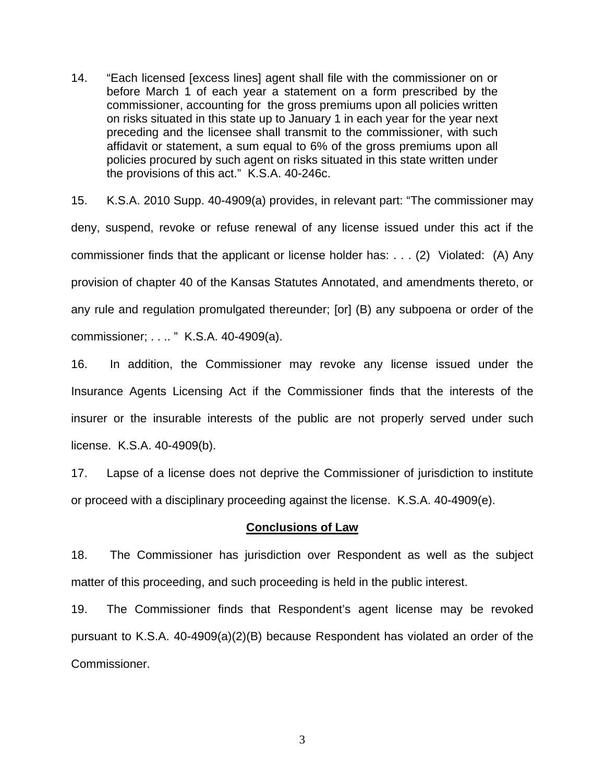14. "Each licensed [excess lines] agent shall file with the commissioner on or before March 1 of each year a statement on a form prescribed by the commissioner, accounting for the gross premiums upon all policies written on risks situated in this state up to January 1 in each year for the year next preceding and the licensee shall transmit to the commissioner, with such affidavit or statement, a sum equal to 6% of the gross premiums upon all policies procured by such agent on risks situated in this state written under the provisions of this act." K.S.A. 40-246c.

15. K.S.A. 2010 Supp. 40-4909(a) provides, in relevant part: "The commissioner may deny, suspend, revoke or refuse renewal of any license issued under this act if the commissioner finds that the applicant or license holder has: . . . (2) Violated: (A) Any provision of chapter 40 of the Kansas Statutes Annotated, and amendments thereto, or any rule and regulation promulgated thereunder; [or] (B) any subpoena or order of the commissioner; . . .. " K.S.A. 40-4909(a).

16. In addition, the Commissioner may revoke any license issued under the Insurance Agents Licensing Act if the Commissioner finds that the interests of the insurer or the insurable interests of the public are not properly served under such license. K.S.A. 40-4909(b).

17. Lapse of a license does not deprive the Commissioner of jurisdiction to institute or proceed with a disciplinary proceeding against the license. K.S.A. 40-4909(e).

#### **Conclusions of Law**

18. The Commissioner has jurisdiction over Respondent as well as the subject matter of this proceeding, and such proceeding is held in the public interest.

19. The Commissioner finds that Respondent's agent license may be revoked pursuant to K.S.A. 40-4909(a)(2)(B) because Respondent has violated an order of the Commissioner.

3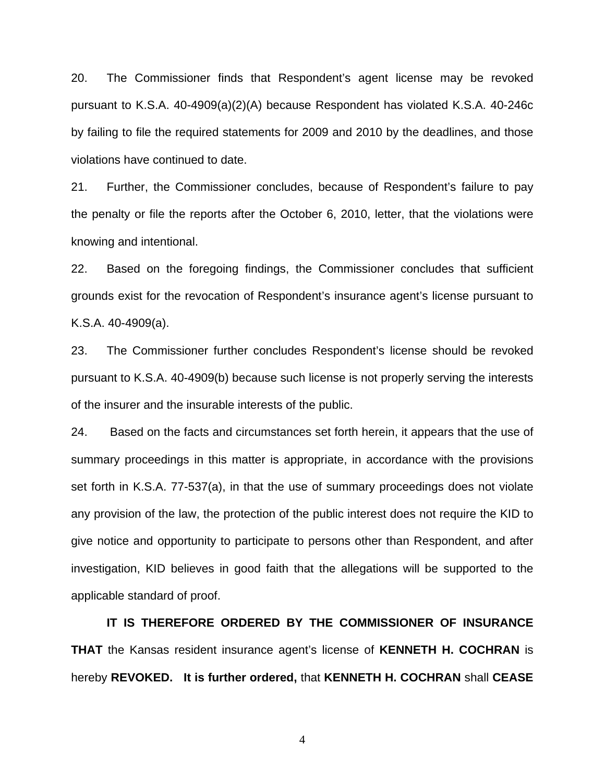20. The Commissioner finds that Respondent's agent license may be revoked pursuant to K.S.A. 40-4909(a)(2)(A) because Respondent has violated K.S.A. 40-246c by failing to file the required statements for 2009 and 2010 by the deadlines, and those violations have continued to date.

21. Further, the Commissioner concludes, because of Respondent's failure to pay the penalty or file the reports after the October 6, 2010, letter, that the violations were knowing and intentional.

22. Based on the foregoing findings, the Commissioner concludes that sufficient grounds exist for the revocation of Respondent's insurance agent's license pursuant to K.S.A. 40-4909(a).

23. The Commissioner further concludes Respondent's license should be revoked pursuant to K.S.A. 40-4909(b) because such license is not properly serving the interests of the insurer and the insurable interests of the public.

24. Based on the facts and circumstances set forth herein, it appears that the use of summary proceedings in this matter is appropriate, in accordance with the provisions set forth in K.S.A. 77-537(a), in that the use of summary proceedings does not violate any provision of the law, the protection of the public interest does not require the KID to give notice and opportunity to participate to persons other than Respondent, and after investigation, KID believes in good faith that the allegations will be supported to the applicable standard of proof.

 **IT IS THEREFORE ORDERED BY THE COMMISSIONER OF INSURANCE THAT** the Kansas resident insurance agent's license of **KENNETH H. COCHRAN** is hereby **REVOKED. It is further ordered,** that **KENNETH H. COCHRAN** shall **CEASE** 

4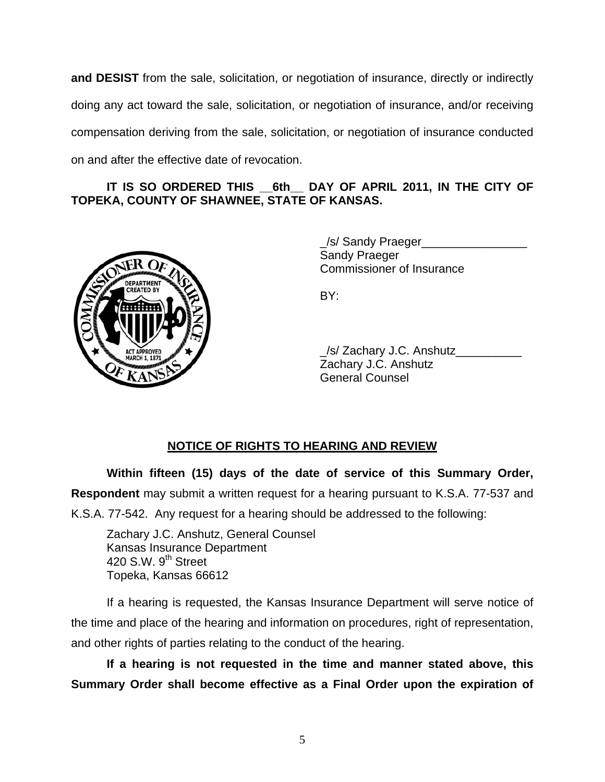**and DESIST** from the sale, solicitation, or negotiation of insurance, directly or indirectly doing any act toward the sale, solicitation, or negotiation of insurance, and/or receiving compensation deriving from the sale, solicitation, or negotiation of insurance conducted on and after the effective date of revocation.

## IT IS SO ORDERED THIS 6th DAY OF APRIL 2011, IN THE CITY OF **TOPEKA, COUNTY OF SHAWNEE, STATE OF KANSAS.**



 \_/s/ Sandy Praeger\_\_\_\_\_\_\_\_\_\_\_\_\_\_\_\_ Sandy Praeger Commissioner of Insurance

| ACTAPROVER # | /s/ Zachary J.C. Anshutz |
|--------------|--------------------------|
|              | Zachary J.C. Anshutz     |
|              | <b>General Counsel</b>   |

## **NOTICE OF RIGHTS TO HEARING AND REVIEW**

**Within fifteen (15) days of the date of service of this Summary Order, Respondent** may submit a written request for a hearing pursuant to K.S.A. 77-537 and K.S.A. 77-542. Any request for a hearing should be addressed to the following:

 Zachary J.C. Anshutz, General Counsel Kansas Insurance Department 420 S.W.  $9<sup>th</sup>$  Street Topeka, Kansas 66612

If a hearing is requested, the Kansas Insurance Department will serve notice of the time and place of the hearing and information on procedures, right of representation, and other rights of parties relating to the conduct of the hearing.

**If a hearing is not requested in the time and manner stated above, this Summary Order shall become effective as a Final Order upon the expiration of**